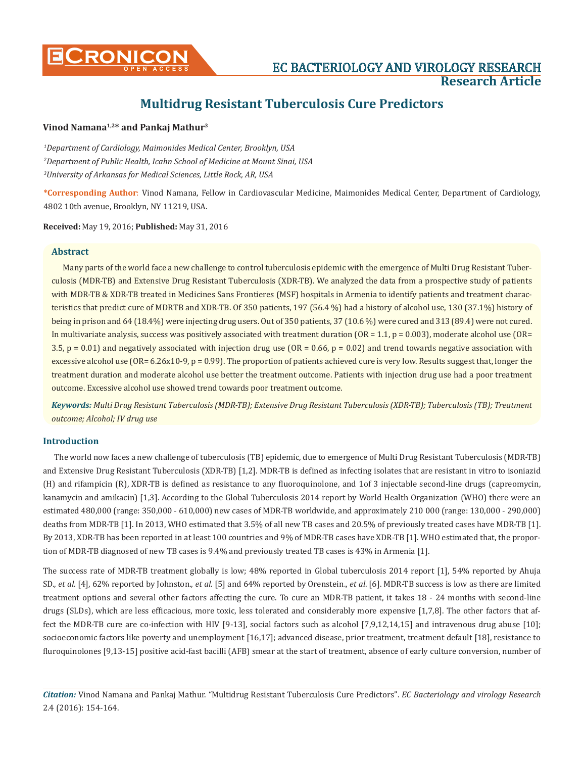

# **Vinod Namana1,2\* and Pankaj Mathur3**

*1 Department of Cardiology, Maimonides Medical Center, Brooklyn, USA 2 Department of Public Health, Icahn School of Medicine at Mount Sinai, USA 3 University of Arkansas for Medical Sciences, Little Rock, AR, USA*

**\*Corresponding Author**: Vinod Namana, Fellow in Cardiovascular Medicine, Maimonides Medical Center, Department of Cardiology, 4802 10th avenue, Brooklyn, NY 11219, USA.

**Received:** May 19, 2016; **Published:** May 31, 2016

# **Abstract**

Many parts of the world face a new challenge to control tuberculosis epidemic with the emergence of Multi Drug Resistant Tuberculosis (MDR-TB) and Extensive Drug Resistant Tuberculosis (XDR-TB). We analyzed the data from a prospective study of patients with MDR-TB & XDR-TB treated in Medicines Sans Frontieres (MSF) hospitals in Armenia to identify patients and treatment characteristics that predict cure of MDRTB and XDR-TB. Of 350 patients, 197 (56.4 %) had a history of alcohol use, 130 (37.1%) history of being in prison and 64 (18.4%) were injecting drug users. Out of 350 patients, 37 (10.6 %) were cured and 313 (89.4) were not cured. In multivariate analysis, success was positively associated with treatment duration  $(OR = 1.1, p = 0.003)$ , moderate alcohol use  $(OR = 1.1, p = 0.003)$ 3.5, p = 0.01) and negatively associated with injection drug use ( $OR = 0.66$ , p = 0.02) and trend towards negative association with excessive alcohol use  $(OR = 6.26 \times 10^{-9})$ ,  $p = 0.99$ ). The proportion of patients achieved cure is very low. Results suggest that, longer the treatment duration and moderate alcohol use better the treatment outcome. Patients with injection drug use had a poor treatment outcome. Excessive alcohol use showed trend towards poor treatment outcome.

*Keywords: Multi Drug Resistant Tuberculosis (MDR-TB); Extensive Drug Resistant Tuberculosis (XDR-TB); Tuberculosis (TB); Treatment outcome; Alcohol; IV drug use*

# **Introduction**

The world now faces a new challenge of tuberculosis (TB) epidemic, due to emergence of Multi Drug Resistant Tuberculosis (MDR-TB) and Extensive Drug Resistant Tuberculosis (XDR-TB) [1,2]. MDR-TB is defined as infecting isolates that are resistant in vitro to isoniazid (H) and rifampicin (R), XDR-TB is defined as resistance to any fluoroquinolone, and 1of 3 injectable second-line drugs (capreomycin, kanamycin and amikacin) [1,3]. According to the Global Tuberculosis 2014 report by World Health Organization (WHO) there were an estimated 480,000 (range: 350,000 - 610,000) new cases of MDR-TB worldwide, and approximately 210 000 (range: 130,000 - 290,000) deaths from MDR-TB [1]. In 2013, WHO estimated that 3.5% of all new TB cases and 20.5% of previously treated cases have MDR-TB [1]. By 2013, XDR-TB has been reported in at least 100 countries and 9% of MDR-TB cases have XDR-TB [1]. WHO estimated that, the proportion of MDR-TB diagnosed of new TB cases is 9.4% and previously treated TB cases is 43% in Armenia [1].

The success rate of MDR-TB treatment globally is low; 48% reported in Global tuberculosis 2014 report [1], 54% reported by Ahuja SD., *et al*. [4], 62% reported by Johnston., *et al*. [5] and 64% reported by Orenstein., *et al*. [6]. MDR-TB success is low as there are limited treatment options and several other factors affecting the cure. To cure an MDR-TB patient, it takes 18 - 24 months with second-line drugs (SLDs), which are less efficacious, more toxic, less tolerated and considerably more expensive [1,7,8]. The other factors that affect the MDR-TB cure are co-infection with HIV [9-13], social factors such as alcohol [7,9,12,14,15] and intravenous drug abuse [10]; socioeconomic factors like poverty and unemployment [16,17]; advanced disease, prior treatment, treatment default [18], resistance to fluroquinolones [9,13-15] positive acid-fast bacilli (AFB) smear at the start of treatment, absence of early culture conversion, number of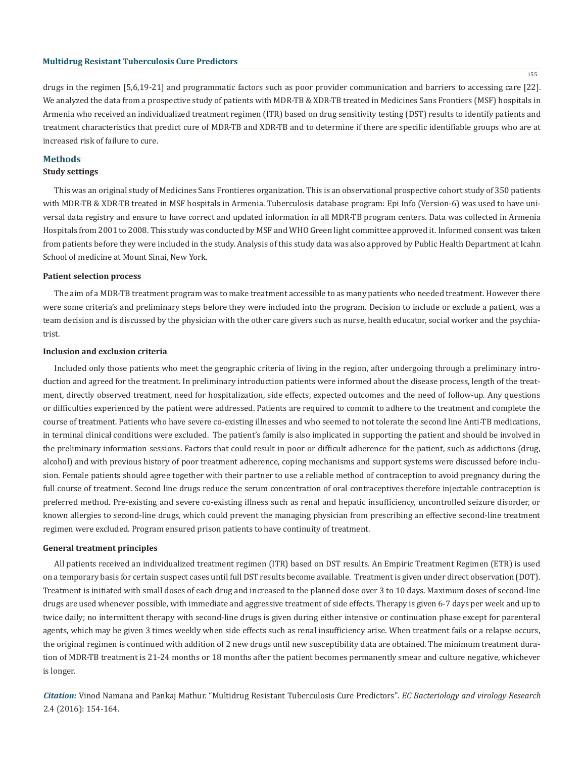155

drugs in the regimen [5,6,19-21] and programmatic factors such as poor provider communication and barriers to accessing care [22]. We analyzed the data from a prospective study of patients with MDR-TB & XDR-TB treated in Medicines Sans Frontiers (MSF) hospitals in Armenia who received an individualized treatment regimen (ITR) based on drug sensitivity testing (DST) results to identify patients and treatment characteristics that predict cure of MDR-TB and XDR-TB and to determine if there are specific identifiable groups who are at increased risk of failure to cure.

# **Methods**

# **Study settings**

This was an original study of Medicines Sans Frontieres organization. This is an observational prospective cohort study of 350 patients with MDR-TB & XDR-TB treated in MSF hospitals in Armenia. Tuberculosis database program: Epi Info (Version-6) was used to have universal data registry and ensure to have correct and updated information in all MDR-TB program centers. Data was collected in Armenia Hospitals from 2001 to 2008. This study was conducted by MSF and WHO Green light committee approved it. Informed consent was taken from patients before they were included in the study. Analysis of this study data was also approved by Public Health Department at Icahn School of medicine at Mount Sinai, New York.

#### **Patient selection process**

The aim of a MDR-TB treatment program was to make treatment accessible to as many patients who needed treatment. However there were some criteria's and preliminary steps before they were included into the program. Decision to include or exclude a patient, was a team decision and is discussed by the physician with the other care givers such as nurse, health educator, social worker and the psychiatrist.

#### **Inclusion and exclusion criteria**

Included only those patients who meet the geographic criteria of living in the region, after undergoing through a preliminary introduction and agreed for the treatment. In preliminary introduction patients were informed about the disease process, length of the treatment, directly observed treatment, need for hospitalization, side effects, expected outcomes and the need of follow-up. Any questions or difficulties experienced by the patient were addressed. Patients are required to commit to adhere to the treatment and complete the course of treatment. Patients who have severe co-existing illnesses and who seemed to not tolerate the second line Anti-TB medications, in terminal clinical conditions were excluded. The patient's family is also implicated in supporting the patient and should be involved in the preliminary information sessions. Factors that could result in poor or difficult adherence for the patient, such as addictions (drug, alcohol) and with previous history of poor treatment adherence, coping mechanisms and support systems were discussed before inclusion. Female patients should agree together with their partner to use a reliable method of contraception to avoid pregnancy during the full course of treatment. Second line drugs reduce the serum concentration of oral contraceptives therefore injectable contraception is preferred method. Pre-existing and severe co-existing illness such as renal and hepatic insufficiency, uncontrolled seizure disorder, or known allergies to second-line drugs, which could prevent the managing physician from prescribing an effective second-line treatment regimen were excluded. Program ensured prison patients to have continuity of treatment.

#### **General treatment principles**

All patients received an individualized treatment regimen (ITR) based on DST results. An Empiric Treatment Regimen (ETR) is used on a temporary basis for certain suspect cases until full DST results become available. Treatment is given under direct observation (DOT). Treatment is initiated with small doses of each drug and increased to the planned dose over 3 to 10 days. Maximum doses of second-line drugs are used whenever possible, with immediate and aggressive treatment of side effects. Therapy is given 6-7 days per week and up to twice daily; no intermittent therapy with second-line drugs is given during either intensive or continuation phase except for parenteral agents, which may be given 3 times weekly when side effects such as renal insufficiency arise. When treatment fails or a relapse occurs, the original regimen is continued with addition of 2 new drugs until new susceptibility data are obtained. The minimum treatment duration of MDR-TB treatment is 21-24 months or 18 months after the patient becomes permanently smear and culture negative, whichever is longer.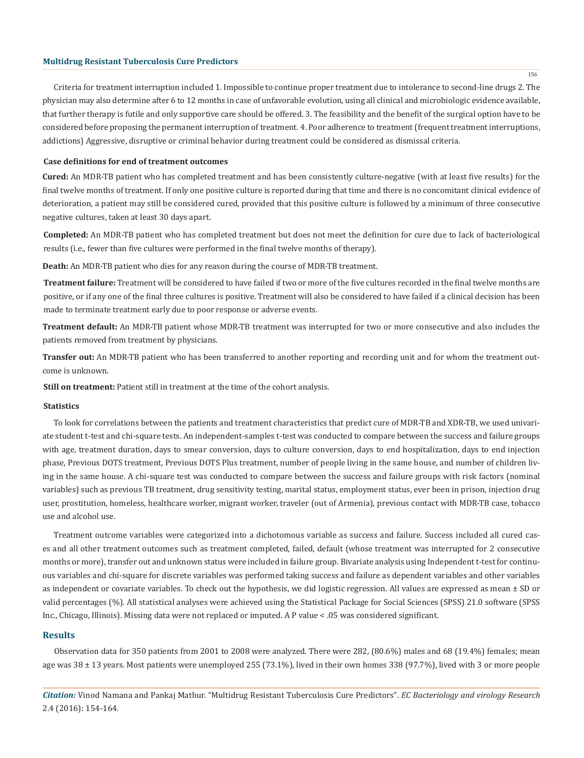Criteria for treatment interruption included 1. Impossible to continue proper treatment due to intolerance to second-line drugs 2. The physician may also determine after 6 to 12 months in case of unfavorable evolution, using all clinical and microbiologic evidence available, that further therapy is futile and only supportive care should be offered. 3. The feasibility and the benefit of the surgical option have to be considered before proposing the permanent interruption of treatment. 4. Poor adherence to treatment (frequent treatment interruptions, addictions) Aggressive, disruptive or criminal behavior during treatment could be considered as dismissal criteria.

#### **Case definitions for end of treatment outcomes**

**Cured:** An MDR-TB patient who has completed treatment and has been consistently culture-negative (with at least five results) for the final twelve months of treatment. If only one positive culture is reported during that time and there is no concomitant clinical evidence of deterioration, a patient may still be considered cured, provided that this positive culture is followed by a minimum of three consecutive negative cultures, taken at least 30 days apart.

**Completed:** An MDR-TB patient who has completed treatment but does not meet the definition for cure due to lack of bacteriological results (i.e., fewer than five cultures were performed in the final twelve months of therapy).

**Death:** An MDR-TB patient who dies for any reason during the course of MDR-TB treatment.

**Treatment failure:** Treatment will be considered to have failed if two or more of the five cultures recorded in the final twelve months are positive, or if any one of the final three cultures is positive. Treatment will also be considered to have failed if a clinical decision has been made to terminate treatment early due to poor response or adverse events.

**Treatment default:** An MDR-TB patient whose MDR-TB treatment was interrupted for two or more consecutive and also includes the patients removed from treatment by physicians.

**Transfer out:** An MDR-TB patient who has been transferred to another reporting and recording unit and for whom the treatment outcome is unknown.

**Still on treatment:** Patient still in treatment at the time of the cohort analysis.

#### **Statistics**

To look for correlations between the patients and treatment characteristics that predict cure of MDR-TB and XDR-TB, we used univariate student t-test and chi-square tests. An independent-samples t-test was conducted to compare between the success and failure groups with age, treatment duration, days to smear conversion, days to culture conversion, days to end hospitalization, days to end injection phase, Previous DOTS treatment, Previous DOTS Plus treatment, number of people living in the same house, and number of children living in the same house. A chi-square test was conducted to compare between the success and failure groups with risk factors (nominal variables) such as previous TB treatment, drug sensitivity testing, marital status, employment status, ever been in prison, injection drug user, prostitution, homeless, healthcare worker, migrant worker, traveler (out of Armenia), previous contact with MDR-TB case, tobacco use and alcohol use.

Treatment outcome variables were categorized into a dichotomous variable as success and failure. Success included all cured cases and all other treatment outcomes such as treatment completed, failed, default (whose treatment was interrupted for 2 consecutive months or more), transfer out and unknown status were included in failure group. Bivariate analysis using Independent t-test for continuous variables and chi-square for discrete variables was performed taking success and failure as dependent variables and other variables as independent or covariate variables. To check out the hypothesis, we did logistic regression. All values are expressed as mean  $\pm$  SD or valid percentages (%). All statistical analyses were achieved using the Statistical Package for Social Sciences (SPSS) 21.0 software (SPSS Inc., Chicago, Illinois). Missing data were not replaced or imputed. A P value < .05 was considered significant.

# **Results**

Observation data for 350 patients from 2001 to 2008 were analyzed. There were 282, (80.6%) males and 68 (19.4%) females; mean age was  $38 \pm 13$  years. Most patients were unemployed 255 (73.1%), lived in their own homes 338 (97.7%), lived with 3 or more people

*Citation:* Vinod Namana and Pankaj Mathur. "Multidrug Resistant Tuberculosis Cure Predictors". *EC Bacteriology and virology Research*  2.4 (2016): 154-164.

156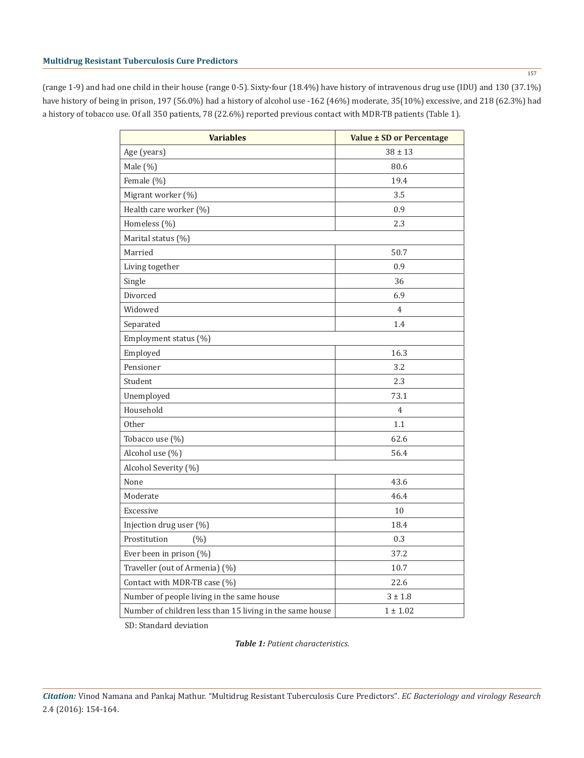(range 1-9) and had one child in their house (range 0-5). Sixty-four (18.4%) have history of intravenous drug use (IDU) and 130 (37.1%) have history of being in prison, 197 (56.0%) had a history of alcohol use -162 (46%) moderate, 35(10%) excessive, and 218 (62.3%) had a history of tobacco use. Of all 350 patients, 78 (22.6%) reported previous contact with MDR-TB patients (Table 1).

| <b>Variables</b>                                         | Value ± SD or Percentage |  |  |  |
|----------------------------------------------------------|--------------------------|--|--|--|
| Age (years)                                              | $38 \pm 13$              |  |  |  |
| Male (%)                                                 | 80.6                     |  |  |  |
| Female (%)                                               | 19.4                     |  |  |  |
| Migrant worker (%)                                       | 3.5                      |  |  |  |
| Health care worker (%)                                   | 0.9                      |  |  |  |
| Homeless (%)                                             | 2.3                      |  |  |  |
| Marital status (%)                                       |                          |  |  |  |
| Married                                                  | 50.7                     |  |  |  |
| Living together                                          | 0.9                      |  |  |  |
| Single                                                   | 36                       |  |  |  |
| Divorced                                                 | 6.9                      |  |  |  |
| Widowed                                                  | 4                        |  |  |  |
| Separated                                                | 1.4                      |  |  |  |
| Employment status (%)                                    |                          |  |  |  |
| Employed                                                 | 16.3                     |  |  |  |
| Pensioner                                                | 3.2                      |  |  |  |
| Student                                                  | 2.3                      |  |  |  |
| Unemployed                                               | 73.1                     |  |  |  |
| Household                                                | $\overline{4}$           |  |  |  |
| Other                                                    | 1.1                      |  |  |  |
| Tobacco use (%)                                          | 62.6                     |  |  |  |
| Alcohol use (%)                                          | 56.4                     |  |  |  |
| Alcohol Severity (%)                                     |                          |  |  |  |
| None                                                     | 43.6                     |  |  |  |
| Moderate                                                 | 46.4                     |  |  |  |
| Excessive                                                | 10                       |  |  |  |
| Injection drug user (%)                                  | 18.4                     |  |  |  |
| Prostitution<br>(% )                                     | 0.3                      |  |  |  |
| Ever been in prison (%)                                  | 37.2                     |  |  |  |
| Traveller (out of Armenia) (%)                           | 10.7                     |  |  |  |
| Contact with MDR-TB case (%)                             | 22.6                     |  |  |  |
| Number of people living in the same house                | $3 \pm 1.8$              |  |  |  |
| Number of children less than 15 living in the same house | $1 \pm 1.02$             |  |  |  |

SD: Standard deviation

*Table 1: Patient characteristics.*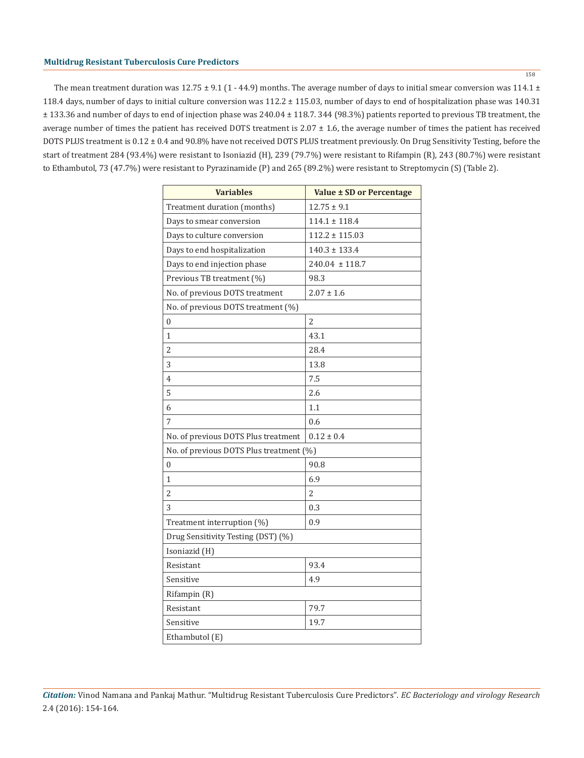The mean treatment duration was  $12.75 \pm 9.1$  (1 - 44.9) months. The average number of days to initial smear conversion was  $114.1 \pm$ 118.4 days, number of days to initial culture conversion was 112.2 ± 115.03, number of days to end of hospitalization phase was 140.31 ± 133.36 and number of days to end of injection phase was 240.04 ± 118.7. 344 (98.3%) patients reported to previous TB treatment, the average number of times the patient has received DOTS treatment is  $2.07 \pm 1.6$ , the average number of times the patient has received DOTS PLUS treatment is 0.12 ± 0.4 and 90.8% have not received DOTS PLUS treatment previously. On Drug Sensitivity Testing, before the start of treatment 284 (93.4%) were resistant to Isoniazid (H), 239 (79.7%) were resistant to Rifampin (R), 243 (80.7%) were resistant to Ethambutol, 73 (47.7%) were resistant to Pyrazinamide (P) and 265 (89.2%) were resistant to Streptomycin (S) (Table 2).

| <b>Variables</b>                        | Value ± SD or Percentage |  |  |  |  |
|-----------------------------------------|--------------------------|--|--|--|--|
| Treatment duration (months)             | $12.75 \pm 9.1$          |  |  |  |  |
| Days to smear conversion                | $114.1 \pm 118.4$        |  |  |  |  |
| Days to culture conversion              | $112.2 \pm 115.03$       |  |  |  |  |
| Days to end hospitalization             | $140.3 \pm 133.4$        |  |  |  |  |
| Days to end injection phase             | $240.04 \pm 118.7$       |  |  |  |  |
| Previous TB treatment (%)               | 98.3                     |  |  |  |  |
| No. of previous DOTS treatment          | $2.07 \pm 1.6$           |  |  |  |  |
| No. of previous DOTS treatment (%)      |                          |  |  |  |  |
| $\mathbf{0}$                            | $\overline{2}$           |  |  |  |  |
| 1                                       | 43.1                     |  |  |  |  |
| 2                                       | 28.4                     |  |  |  |  |
| 3                                       | 13.8                     |  |  |  |  |
| 4                                       | 7.5                      |  |  |  |  |
| 5                                       | 2.6                      |  |  |  |  |
| 6                                       | 1.1                      |  |  |  |  |
| 7                                       | 0.6                      |  |  |  |  |
| No. of previous DOTS Plus treatment     | $0.12 \pm 0.4$           |  |  |  |  |
| No. of previous DOTS Plus treatment (%) |                          |  |  |  |  |
| 0                                       | 90.8                     |  |  |  |  |
| 1                                       | 6.9                      |  |  |  |  |
| $\overline{2}$                          | $\overline{\mathcal{L}}$ |  |  |  |  |
| 3                                       | 0.3                      |  |  |  |  |
| Treatment interruption (%)              | 0.9                      |  |  |  |  |
| Drug Sensitivity Testing (DST) (%)      |                          |  |  |  |  |
| Isoniazid (H)                           |                          |  |  |  |  |
| Resistant                               | 93.4                     |  |  |  |  |
| Sensitive                               | 4.9                      |  |  |  |  |
| Rifampin (R)                            |                          |  |  |  |  |
| Resistant                               | 79.7                     |  |  |  |  |
| Sensitive                               | 19.7                     |  |  |  |  |
| Ethambutol (E)                          |                          |  |  |  |  |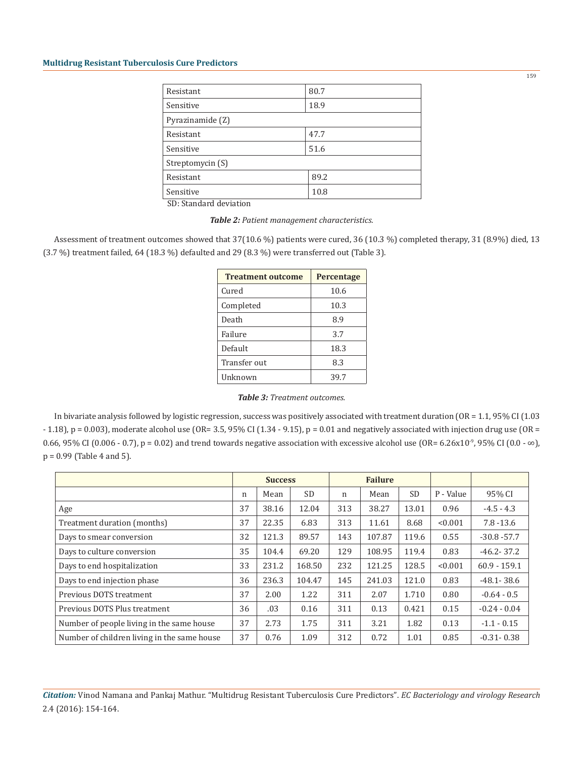| Resistant        | 80.7 |
|------------------|------|
| Sensitive        | 18.9 |
| Pyrazinamide (Z) |      |
| Resistant        | 47.7 |
| Sensitive        | 51.6 |
| Streptomycin (S) |      |
| Resistant        | 89.2 |
| Sensitive        | 10.8 |

SD: Standard deviation

*Table 2: Patient management characteristics.*

Assessment of treatment outcomes showed that 37(10.6 %) patients were cured, 36 (10.3 %) completed therapy, 31 (8.9%) died, 13 (3.7 %) treatment failed, 64 (18.3 %) defaulted and 29 (8.3 %) were transferred out (Table 3).

| <b>Treatment outcome</b> | Percentage |
|--------------------------|------------|
| Cured                    | 10.6       |
| Completed                | 10.3       |
| Death                    | 8.9        |
| Failure                  | 3.7        |
| Default                  | 18.3       |
| Transfer out             | 8.3        |
| Unknown                  | 39.7       |

*Table 3: Treatment outcomes.*

In bivariate analysis followed by logistic regression, success was positively associated with treatment duration (OR = 1.1, 95% CI (1.03  $-1.18$ ), p = 0.003), moderate alcohol use (OR= 3.5, 95% CI (1.34 - 9.15), p = 0.01 and negatively associated with injection drug use (OR = 0.66, 95% CI (0.006 - 0.7), p = 0.02) and trend towards negative association with excessive alcohol use (OR= 6.26x10<sup>-9</sup>, 95% CI (0.0 - ∞), p = 0.99 (Table 4 and 5).

|                                             | <b>Success</b> |       | <b>Failure</b> |     |        |           |           |                |
|---------------------------------------------|----------------|-------|----------------|-----|--------|-----------|-----------|----------------|
|                                             | n              | Mean  | <b>SD</b>      | n   | Mean   | <b>SD</b> | P - Value | 95% CI         |
| Age                                         | 37             | 38.16 | 12.04          | 313 | 38.27  | 13.01     | 0.96      | $-4.5 - 4.3$   |
| Treatment duration (months)                 | 37             | 22.35 | 6.83           | 313 | 11.61  | 8.68      | < 0.001   | $7.8 - 13.6$   |
| Days to smear conversion                    | 32             | 121.3 | 89.57          | 143 | 107.87 | 119.6     | 0.55      | $-30.8 - 57.7$ |
| Days to culture conversion                  | 35             | 104.4 | 69.20          | 129 | 108.95 | 119.4     | 0.83      | $-46.2 - 37.2$ |
| Days to end hospitalization                 | 33             | 231.2 | 168.50         | 232 | 121.25 | 128.5     | < 0.001   | $60.9 - 159.1$ |
| Days to end injection phase                 | 36             | 236.3 | 104.47         | 145 | 241.03 | 121.0     | 0.83      | $-48.1 - 38.6$ |
| Previous DOTS treatment                     | 37             | 2.00  | 1.22           | 311 | 2.07   | 1.710     | 0.80      | $-0.64 - 0.5$  |
| Previous DOTS Plus treatment                | 36             | .03   | 0.16           | 311 | 0.13   | 0.421     | 0.15      | $-0.24 - 0.04$ |
| Number of people living in the same house   | 37             | 2.73  | 1.75           | 311 | 3.21   | 1.82      | 0.13      | $-1.1 - 0.15$  |
| Number of children living in the same house | 37             | 0.76  | 1.09           | 312 | 0.72   | 1.01      | 0.85      | $-0.31 - 0.38$ |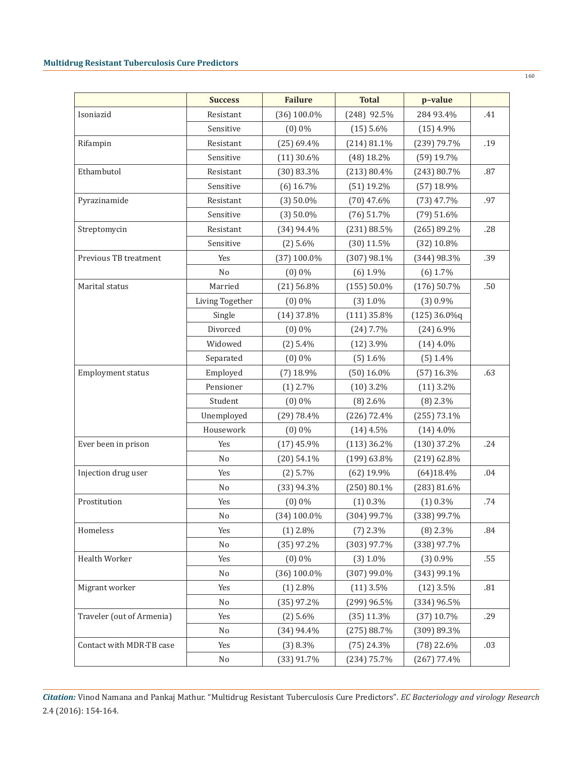|                           | <b>Success</b>  | <b>Failure</b> | <b>Total</b>   | p-value        |     |
|---------------------------|-----------------|----------------|----------------|----------------|-----|
| Isoniazid                 | Resistant       | $(36)$ 100.0%  | $(248)$ 92.5%  | 284 93.4%      | .41 |
|                           | Sensitive       | $(0)$ 0%       | $(15)$ 5.6%    | $(15)$ 4.9%    |     |
| Rifampin                  | Resistant       | $(25)$ 69.4%   | (214) 81.1%    | (239) 79.7%    | .19 |
|                           | Sensitive       | $(11)$ 30.6%   | $(48)$ 18.2%   | $(59)$ 19.7%   |     |
| Ethambutol                | Resistant       | $(30)$ 83.3%   | (213) 80.4%    | (243) 80.7%    | .87 |
|                           | Sensitive       | $(6)$ 16.7%    | $(51)$ 19.2%   | $(57)$ 18.9%   |     |
| Pyrazinamide              | Resistant       | $(3)$ 50.0%    | $(70)$ 47.6%   | $(73)$ 47.7%   | .97 |
|                           | Sensitive       | $(3)$ 50.0%    | $(76)$ 51.7%   | $(79)$ 51.6%   |     |
| Streptomycin              | Resistant       | $(34)$ 94.4%   | (231) 88.5%    | (265) 89.2%    | .28 |
|                           | Sensitive       | $(2)$ 5.6%     | $(30)$ 11.5%   | $(32) 10.8\%$  |     |
| Previous TB treatment     | Yes             | $(37)$ 100.0%  | $(307)$ 98.1%  | (344) 98.3%    | .39 |
|                           | N <sub>o</sub>  | $(0)$ 0%       | $(6)$ 1.9%     | $(6)$ 1.7%     |     |
| Marital status            | Married         | $(21)$ 56.8%   | $(155) 50.0\%$ | $(176)$ 50.7%  | .50 |
|                           | Living Together | $(0)$ 0%       | (3) 1.0%       | $(3)$ 0.9%     |     |
|                           | Single          | $(14)$ 37.8%   | $(111)$ 35.8%  | $(125)$ 36.0%q |     |
|                           | Divorced        | $(0)$ 0%       | $(24)$ 7.7%    | $(24)$ 6.9%    |     |
|                           | Widowed         | $(2)$ 5.4%     | $(12)$ 3.9%    | $(14)$ 4.0%    |     |
|                           | Separated       | $(0)$ 0%       | $(5)$ 1.6%     | $(5)$ 1.4%     |     |
| <b>Employment status</b>  | Employed        | $(7)$ 18.9%    | $(50)$ 16.0%   | $(57)$ 16.3%   | .63 |
|                           | Pensioner       | $(1)$ 2.7%     | $(10)$ 3.2%    | $(11)$ 3.2%    |     |
|                           | Student         | $(0)$ 0%       | $(8)$ 2.6%     | $(8)$ 2.3%     |     |
|                           | Unemployed      | (29) 78.4%     | $(226)$ 72.4%  | $(255)$ 73.1%  |     |
|                           | Housework       | $(0)$ 0%       | $(14)$ 4.5%    | $(14)$ 4.0%    |     |
| Ever been in prison       | Yes             | $(17)$ 45.9%   | $(113)$ 36.2%  | $(130)$ 37.2%  | .24 |
|                           | N <sub>0</sub>  | $(20)$ 54.1%   | $(199)$ 63.8%  | (219) 62.8%    |     |
| Injection drug user       | Yes             | $(2)$ 5.7%     | $(62)$ 19.9%   | (64)18.4%      | .04 |
|                           | N <sub>0</sub>  | $(33)$ 94.3%   | $(250) 80.1\%$ | (283) 81.6%    |     |
| Prostitution              | Yes             | $(0)$ 0%       | $(1)$ 0.3%     | $(1)$ 0.3%     | .74 |
|                           | No              | $(34) 100.0\%$ | (304) 99.7%    | (338) 99.7%    |     |
| Homeless                  | Yes             | $(1)$ 2.8%     | $(7)$ 2.3%     | $(8)$ 2.3%     | .84 |
|                           | N <sub>o</sub>  | $(35)$ 97.2%   | $(303)$ 97.7%  | (338) 97.7%    |     |
| Health Worker             | Yes             | $(0)$ 0%       | $(3)$ 1.0%     | $(3)$ 0.9%     | .55 |
|                           | No              | $(36)$ 100.0%  | $(307)$ 99.0%  | (343) 99.1%    |     |
| Migrant worker            | Yes             | $(1)$ 2.8%     | $(11)$ 3.5%    | $(12)$ 3.5%    | .81 |
|                           | No              | $(35)$ 97.2%   | (299) 96.5%    | (334) 96.5%    |     |
| Traveler (out of Armenia) | Yes             | $(2)$ 5.6%     | $(35)$ 11.3%   | $(37)$ 10.7%   | .29 |
|                           | No              | $(34)$ 94.4%   | (275) 88.7%    | (309) 89.3%    |     |
| Contact with MDR-TB case  | Yes             | $(3)$ 8.3%     | $(75)$ 24.3%   | $(78)$ 22.6%   | .03 |
|                           | No              | $(33)$ 91.7%   | $(234)$ 75.7%  | $(267)$ 77.4%  |     |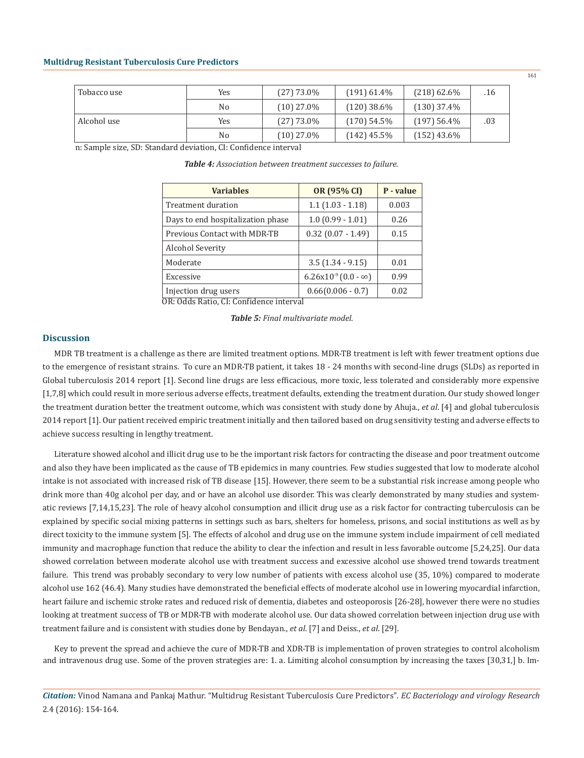| Tobacco use | Yes            | $(27)$ 73.0% | $(191)$ 61.4% | $(218)$ 62.6% | .16 |
|-------------|----------------|--------------|---------------|---------------|-----|
|             | N <sub>0</sub> | $(10)$ 27.0% | $(120)$ 38.6% | $(130)$ 37.4% |     |
| Alcohol use | Yes            | $(27)$ 73.0% | $(170)$ 54.5% | $(197)$ 56.4% | .03 |
|             | N <sub>0</sub> | $(10)$ 27.0% | $(142)$ 45.5% | $(152)$ 43.6% |     |

n: Sample size, SD: Standard deviation, CI: Confidence interval

*Table 4: Association between treatment successes to failure.*

| <b>Variables</b>                                         | OR (95% CI)                   | P - value |
|----------------------------------------------------------|-------------------------------|-----------|
| Treatment duration                                       | $1.1(1.03 - 1.18)$            | 0.003     |
| Days to end hospitalization phase                        | $1.0(0.99 - 1.01)$            | 0.26      |
| Previous Contact with MDR-TB                             | $0.32$ (0.07 - 1.49)          | 0.15      |
| Alcohol Severity                                         |                               |           |
| Moderate                                                 | $3.5(1.34 - 9.15)$            | 0.01      |
| Excessive                                                | $6.26x10^{-9} (0.0 - \infty)$ | 0.99      |
| Injection drug users<br>------------<br>$\overline{a}$ . | $0.66(0.006 - 0.7)$           | 0.02      |

OR: Odds Ratio, CI: Confidence interval

#### *Table 5: Final multivariate model.*

### **Discussion**

MDR TB treatment is a challenge as there are limited treatment options. MDR-TB treatment is left with fewer treatment options due to the emergence of resistant strains. To cure an MDR-TB patient, it takes 18 - 24 months with second-line drugs (SLDs) as reported in Global tuberculosis 2014 report [1]. Second line drugs are less efficacious, more toxic, less tolerated and considerably more expensive [1,7,8] which could result in more serious adverse effects, treatment defaults, extending the treatment duration. Our study showed longer the treatment duration better the treatment outcome, which was consistent with study done by Ahuja., *et al*. [4] and global tuberculosis 2014 report [1]. Our patient received empiric treatment initially and then tailored based on drug sensitivity testing and adverse effects to achieve success resulting in lengthy treatment.

Literature showed alcohol and illicit drug use to be the important risk factors for contracting the disease and poor treatment outcome and also they have been implicated as the cause of TB epidemics in many countries. Few studies suggested that low to moderate alcohol intake is not associated with increased risk of TB disease [15]. However, there seem to be a substantial risk increase among people who drink more than 40g alcohol per day, and or have an alcohol use disorder. This was clearly demonstrated by many studies and systematic reviews [7,14,15,23]. The role of heavy alcohol consumption and illicit drug use as a risk factor for contracting tuberculosis can be explained by specific social mixing patterns in settings such as bars, shelters for homeless, prisons, and social institutions as well as by direct toxicity to the immune system [5]. The effects of alcohol and drug use on the immune system include impairment of cell mediated immunity and macrophage function that reduce the ability to clear the infection and result in less favorable outcome [5,24,25]. Our data showed correlation between moderate alcohol use with treatment success and excessive alcohol use showed trend towards treatment failure. This trend was probably secondary to very low number of patients with excess alcohol use (35, 10%) compared to moderate alcohol use 162 (46.4). Many studies have demonstrated the beneficial effects of moderate alcohol use in lowering myocardial infarction, heart failure and ischemic stroke rates and reduced risk of dementia, diabetes and osteoporosis [26-28], however there were no studies looking at treatment success of TB or MDR-TB with moderate alcohol use. Our data showed correlation between injection drug use with treatment failure and is consistent with studies done by Bendayan., *et al*. [7] and Deiss., *et al*. [29].

Key to prevent the spread and achieve the cure of MDR-TB and XDR-TB is implementation of proven strategies to control alcoholism and intravenous drug use. Some of the proven strategies are: 1. a. Limiting alcohol consumption by increasing the taxes [30,31,] b. Im-

*Citation:* Vinod Namana and Pankaj Mathur. "Multidrug Resistant Tuberculosis Cure Predictors". *EC Bacteriology and virology Research*  2.4 (2016): 154-164.

161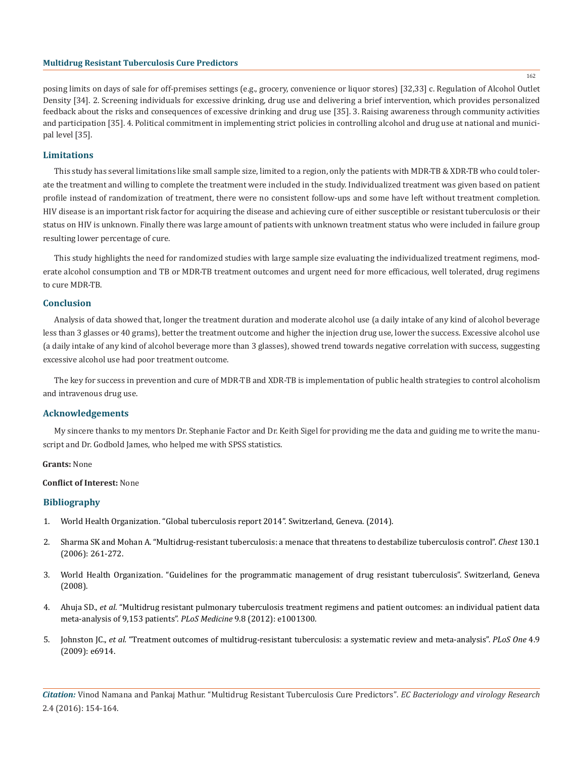162

posing limits on days of sale for off-premises settings (e.g., grocery, convenience or liquor stores) [32,33] c. Regulation of Alcohol Outlet Density [34]. 2. Screening individuals for excessive drinking, drug use and delivering a brief intervention, which provides personalized feedback about the risks and consequences of excessive drinking and drug use [35]. 3. Raising awareness through community activities and participation [35]. 4. Political commitment in implementing strict policies in controlling alcohol and drug use at national and municipal level [35].

# **Limitations**

This study has several limitations like small sample size, limited to a region, only the patients with MDR-TB & XDR-TB who could tolerate the treatment and willing to complete the treatment were included in the study. Individualized treatment was given based on patient profile instead of randomization of treatment, there were no consistent follow-ups and some have left without treatment completion. HIV disease is an important risk factor for acquiring the disease and achieving cure of either susceptible or resistant tuberculosis or their status on HIV is unknown. Finally there was large amount of patients with unknown treatment status who were included in failure group resulting lower percentage of cure.

This study highlights the need for randomized studies with large sample size evaluating the individualized treatment regimens, moderate alcohol consumption and TB or MDR-TB treatment outcomes and urgent need for more efficacious, well tolerated, drug regimens to cure MDR-TB.

# **Conclusion**

Analysis of data showed that, longer the treatment duration and moderate alcohol use (a daily intake of any kind of alcohol beverage less than 3 glasses or 40 grams), better the treatment outcome and higher the injection drug use, lower the success. Excessive alcohol use (a daily intake of any kind of alcohol beverage more than 3 glasses), showed trend towards negative correlation with success, suggesting excessive alcohol use had poor treatment outcome.

The key for success in prevention and cure of MDR-TB and XDR-TB is implementation of public health strategies to control alcoholism and intravenous drug use.

# **Acknowledgements**

My sincere thanks to my mentors Dr. Stephanie Factor and Dr. Keith Sigel for providing me the data and guiding me to write the manuscript and Dr. Godbold James, who helped me with SPSS statistics.

#### **Grants:** None

#### **Conflict of Interest:** None

# **Bibliography**

- 1. World Health Organization. "Global tuberculosis report 2014". Switzerland, Geneva. (2014).
- 2. Sharma SK and Mohan A. "Multidrug-resistant tuberculosis: a menace that threatens to destabilize tuberculosis control". *Chest* 130.1 (2006): 261-272.
- 3. World Health Organization. "Guidelines for the programmatic management of drug resistant tuberculosis". Switzerland, Geneva (2008).
- 4. Ahuja SD., *et al.* "Multidrug resistant pulmonary tuberculosis treatment regimens and patient outcomes: an individual patient data meta-analysis of 9,153 patients". *PLoS Medicine* 9.8 (2012): e1001300.
- 5. Johnston JC., *et al.* "Treatment outcomes of multidrug-resistant tuberculosis: a systematic review and meta-analysis". *PLoS One* 4.9 (2009): e6914.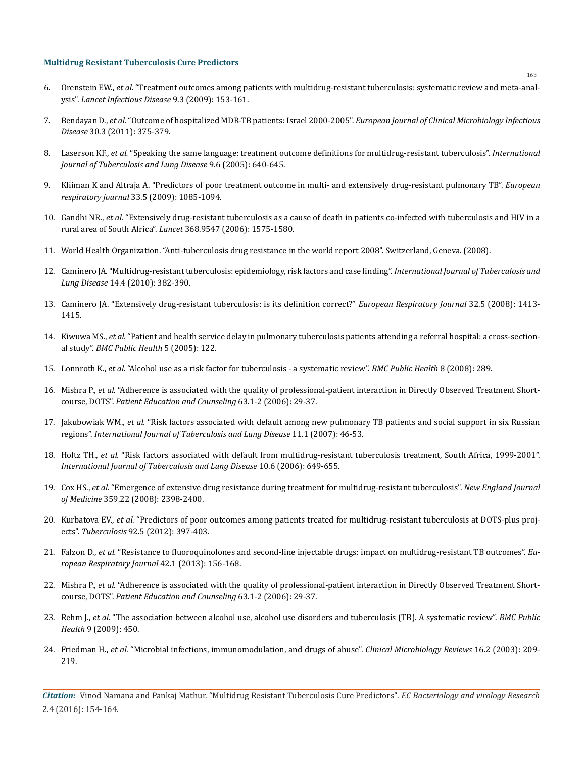- 6. Orenstein EW., *et al.* "Treatment outcomes among patients with multidrug-resistant tuberculosis: systematic review and meta-analysis". *Lancet Infectious Disease* 9.3 (2009): 153-161.
- 7. Bendayan D., *et al.* "Outcome of hospitalized MDR-TB patients: Israel 2000-2005". *European Journal of Clinical Microbiology Infectious Disease* 30.3 (2011): 375-379.
- 8. Laserson KF., *et al.* "Speaking the same language: treatment outcome definitions for multidrug-resistant tuberculosis". *International Journal of Tuberculosis and Lung Disease* 9.6 (2005): 640-645.
- 9. Kliiman K and Altraja A. "Predictors of poor treatment outcome in multi- and extensively drug-resistant pulmonary TB". *European respiratory journal* 33.5 (2009): 1085-1094.
- 10. Gandhi NR., *et al.* "Extensively drug-resistant tuberculosis as a cause of death in patients co-infected with tuberculosis and HIV in a rural area of South Africa". *Lancet* 368.9547 (2006): 1575-1580.
- 11. World Health Organization. "Anti-tuberculosis drug resistance in the world report 2008". Switzerland, Geneva. (2008).
- 12. Caminero JA. "Multidrug-resistant tuberculosis: epidemiology, risk factors and case finding". *International Journal of Tuberculosis and Lung Disease* 14.4 (2010): 382-390.
- 13. Caminero JA. "Extensively drug-resistant tuberculosis: is its definition correct?" *European Respiratory Journal* 32.5 (2008): 1413- 1415.
- 14. Kiwuwa MS., *et al.* "Patient and health service delay in pulmonary tuberculosis patients attending a referral hospital: a cross-sectional study". *BMC Public Health* 5 (2005): 122.
- 15. Lonnroth K., *et al.* "Alcohol use as a risk factor for tuberculosis a systematic review". *BMC Public Health* 8 (2008): 289.
- 16. Mishra P., *et al.* "Adherence is associated with the quality of professional-patient interaction in Directly Observed Treatment Shortcourse, DOTS". *Patient Education and Counseling* 63.1-2 (2006): 29-37.
- 17. Jakubowiak WM., *et al.* "Risk factors associated with default among new pulmonary TB patients and social support in six Russian regions". *International Journal of Tuberculosis and Lung Disease* 11.1 (2007): 46-53.
- 18. Holtz TH., *et al.* "Risk factors associated with default from multidrug-resistant tuberculosis treatment, South Africa, 1999-2001". *International Journal of Tuberculosis and Lung Disease* 10.6 (2006): 649-655.
- 19. Cox HS., *et al.* "Emergence of extensive drug resistance during treatment for multidrug-resistant tuberculosis". *New England Journal of Medicine* 359.22 (2008): 2398-2400.
- 20. Kurbatova EV., *et al.* "Predictors of poor outcomes among patients treated for multidrug-resistant tuberculosis at DOTS-plus projects". *Tuberculosis* 92.5 (2012): 397-403.
- 21. Falzon D., *et al.* "Resistance to fluoroquinolones and second-line injectable drugs: impact on multidrug-resistant TB outcomes". *European Respiratory Journal* 42.1 (2013): 156-168.
- 22. Mishra P., *et al.* "Adherence is associated with the quality of professional-patient interaction in Directly Observed Treatment Shortcourse, DOTS". *Patient Education and Counseling* 63.1-2 (2006): 29-37.
- 23. Rehm J., *et al.* "The association between alcohol use, alcohol use disorders and tuberculosis (TB). A systematic review". *BMC Public Health* 9 (2009): 450.
- 24. Friedman H., *et al.* "Microbial infections, immunomodulation, and drugs of abuse". *Clinical Microbiology Reviews* 16.2 (2003): 209- 219.